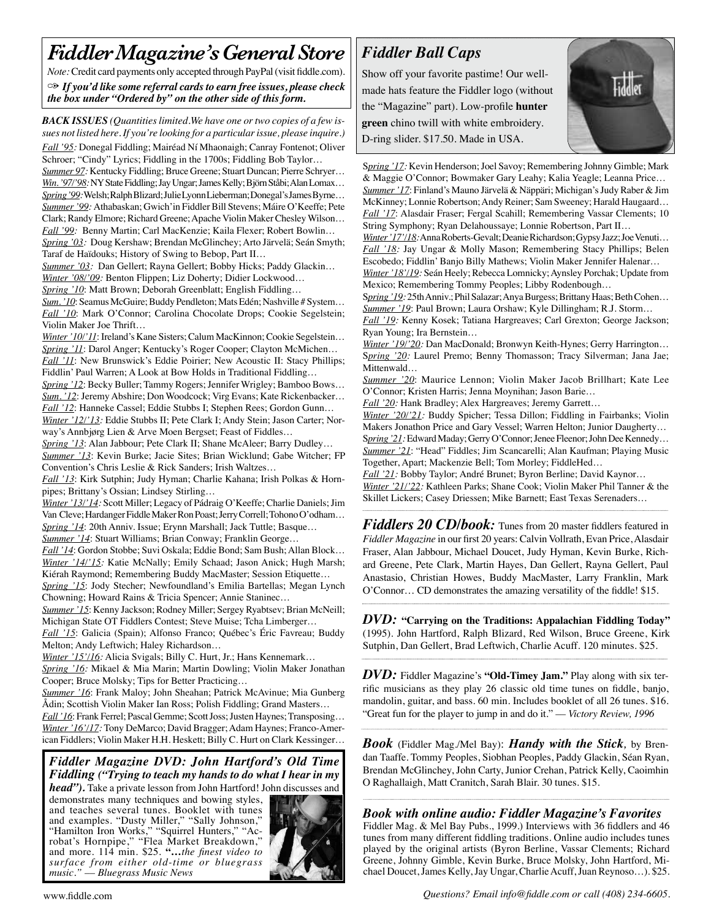## *Fiddler Magazine's General Store*

*Note:* Credit card payments only accepted through PayPal (visit fiddle.com). 1 *If you'd like some referral cards to earn free issues, please check the box under "Ordered by" on the other side of this form.* 

*BACK ISSUES (Quantities limited.We have one or two copies of a few issues not listed here. If you're looking for a particular issue, please inquire.) Fall '95:* Donegal Fiddling; Mairéad Ní Mhaonaigh; Canray Fontenot; Oliver Schroer; "Cindy" Lyrics; Fiddling in the 1700s; Fiddling Bob Taylor… *Summer 97:* Kentucky Fiddling; Bruce Greene; Stuart Duncan; Pierre Schryer… *Win. '97/'98:* NY State Fiddling; Jay Ungar; James Kelly; Björn Ståbi; Alan Lomax… *Spring '99:* Welsh; Ralph Blizard; Julie Lyonn Lieberman; Donegal's James Byrne… *Summer '99:* Athabaskan; Gwich'in Fiddler Bill Stevens; Máire O'Keeffe; Pete Clark; Randy Elmore; Richard Greene; Apache Violin Maker Chesley Wilson… *Fall '99:* Benny Martin; Carl MacKenzie; Kaila Flexer; Robert Bowlin… *Spring '03:* Doug Kershaw; Brendan McGlinchey; Arto Järvelä; Seán Smyth; Taraf de Haïdouks; History of Swing to Bebop, Part II…

*Summer '03:* Dan Gellert; Rayna Gellert; Bobby Hicks; Paddy Glackin… *Winter '08/'09:* Benton Flippen; Liz Doherty; Didier Lockwood… *Spring '10*: Matt Brown; Deborah Greenblatt; English Fiddling… *Sum. '10*: Seamus McGuire; Buddy Pendleton; Mats Edén; Nashville # System…

*Fall '10*: Mark O'Connor; Carolina Chocolate Drops; Cookie Segelstein; Violin Maker Joe Thrift…

*Winter '10/'11*: Ireland's Kane Sisters; Calum MacKinnon; Cookie Segelstein… *Spring '11*: Darol Anger; Kentucky's Roger Cooper; Clayton McMichen… *Fall '11*: New Brunswick's Eddie Poirier; New Acoustic II: Stacy Phillips; Fiddlin' Paul Warren; A Look at Bow Holds in Traditional Fiddling… *Spring '12*: Becky Buller; Tammy Rogers; Jennifer Wrigley; Bamboo Bows… *Sum. '12*: Jeremy Abshire; Don Woodcock; Virg Evans; Kate Rickenbacker… *Fall '12*: Hanneke Cassel; Eddie Stubbs I; Stephen Rees; Gordon Gunn… *Winter '12/'13:* Eddie Stubbs II; Pete Clark I; Andy Stein; Jason Carter; Norway's Annbjørg Lien & Arve Moen Bergset; Feast of Fiddles…

*Spring '13*: Alan Jabbour; Pete Clark II; Shane McAleer; Barry Dudley… *Summer '13*: Kevin Burke; Jacie Sites; Brian Wicklund; Gabe Witcher; FP Convention's Chris Leslie & Rick Sanders; Irish Waltzes…

*Fall '13*: Kirk Sutphin; Judy Hyman; Charlie Kahana; Irish Polkas & Hornpipes; Brittany's Ossian; Lindsey Stirling…

*Winter '13/'14:* Scott Miller; Legacy of Pádraig O'Keeffe; Charlie Daniels; Jim Van Cleve; Hardanger Fiddle Maker Ron Poast; Jerry Correll; Tohono O'odham… *Spring '14*: 20th Anniv. Issue; Erynn Marshall; Jack Tuttle; Basque… *Summer '14*: Stuart Williams; Brian Conway; Franklin George…

*Fall '14*: Gordon Stobbe; Suvi Oskala; Eddie Bond; Sam Bush; Allan Block… *Winter '14/'15:* Katie McNally; Emily Schaad; Jason Anick; Hugh Marsh; Kiérah Raymond; Remembering Buddy MacMaster; Session Etiquette…

*Spring '15*: Jody Stecher; Newfoundland's Emilia Bartellas; Megan Lynch Chowning; Howard Rains & Tricia Spencer; Annie Staninec…

*Summer '15*: Kenny Jackson; Rodney Miller; Sergey Ryabtsev; Brian McNeill; Michigan State OT Fiddlers Contest; Steve Muise; Tcha Limberger…

*Fall '15*: Galicia (Spain); Alfonso Franco; Québec's Éric Favreau; Buddy Melton; Andy Leftwich; Haley Richardson…

*Winter '15'/16:* Alicia Svigals; Billy C. Hurt, Jr.; Hans Kennemark…

*Spring '16:* Mikael & Mia Marin; Martin Dowling; Violin Maker Jonathan Cooper; Bruce Molsky; Tips for Better Practicing…

*Summer '16*: Frank Maloy; John Sheahan; Patrick McAvinue; Mia Gunberg Ådin; Scottish Violin Maker Ian Ross; Polish Fiddling; Grand Masters...

*Fall '16*: Frank Ferrel; Pascal Gemme; Scott Joss; Justen Haynes; Transposing… *Winter '16'/17:* Tony DeMarco; David Bragger; Adam Haynes; Franco-American Fiddlers; Violin Maker H.H. Heskett; Billy C. Hurt on Clark Kessinger…

## *Fiddler Magazine DVD: John Hartford's Old Time Fiddling ("Trying to teach my hands to do what I hear in my head"*). Take a private lesson from John Hartford! John discusses and

demonstrates many techniques and bowing styles, and teaches several tunes. Booklet with tunes and examples. "Dusty Miller," "Sally Johnson," "Hamilton Iron Works," "Squirrel Hunters," "Acrobat's Hornpipe," "Flea Market Breakdown," and more. 114 min. \$25. **"…***the finest video to surface from either old-time or bluegrass music." –– Bluegrass Music News*



## *Fiddler Ball Caps*

Show off your favorite pastime! Our wellmade hats feature the Fiddler logo (without the "Magazine" part). Low-profile **hunter green** chino twill with white embroidery. D-ring slider. \$17.50. Made in USA.



S*pring '17:* Kevin Henderson; Joel Savoy; Remembering Johnny Gimble; Mark & Maggie O'Connor; Bowmaker Gary Leahy; Kalia Yeagle; Leanna Price… *Summer '17*: Finland's Mauno Järvelä & Näppäri; Michigan's Judy Raber & Jim McKinney; Lonnie Robertson; Andy Reiner; Sam Sweeney; Harald Haugaard… *Fall '17*: Alasdair Fraser; Fergal Scahill; Remembering Vassar Clements; 10 String Symphony; Ryan Delahoussaye; Lonnie Robertson, Part II…

*Winter '17'/18:* Anna Roberts-Gevalt; Deanie Richardson; Gypsy Jazz; Joe Venuti… *Fall '18:* Jay Ungar & Molly Mason; Remembering Stacy Phillips; Belen Escobedo; Fiddlin' Banjo Billy Mathews; Violin Maker Jennifer Halenar… *Winter '18'/19:* Seán Heely; Rebecca Lomnicky; Aynsley Porchak; Update from

Mexico; Remembering Tommy Peoples; Libby Rodenbough… S*pring '19:* 25th Anniv.; Phil Salazar; Anya Burgess; Brittany Haas; Beth Cohen…

*Summer '19*: Paul Brown; Laura Orshaw; Kyle Dillingham; R.J. Storm… *Fall '19:* Kenny Kosek; Tatiana Hargreaves; Carl Grexton; George Jackson; Ryan Young; Ira Bernstein…

*Winter '19/'20:* Dan MacDonald; Bronwyn Keith-Hynes; Gerry Harrington… S*pring '20:* Laurel Premo; Benny Thomasson; Tracy Silverman; Jana Jae; Mittenwald…

*Summer '20*: Maurice Lennon; Violin Maker Jacob Brillhart; Kate Lee O'Connor; Kristen Harris; Jenna Moynihan; Jason Barie…

*Fall '20:* Hank Bradley; Alex Hargreaves; Jeremy Garrett…

*Winter '20/'21:* Buddy Spicher; Tessa Dillon; Fiddling in Fairbanks; Violin Makers Jonathon Price and Gary Vessel; Warren Helton; Junior Daugherty…

S*pring '21:* Edward Maday; Gerry O'Connor; Jenee Fleenor; John Dee Kennedy… *Summer '21*: "Head" Fiddles; Jim Scancarelli; Alan Kaufman; Playing Music Together, Apart; Mackenzie Bell; Tom Morley; FiddleHed…

*Fall '21:* Bobby Taylor; André Brunet; Byron Berline; David Kaynor… *Winter '21/'22:* Kathleen Parks; Shane Cook; Violin Maker Phil Tanner & the Skillet Lickers; Casey Driessen; Mike Barnett; East Texas Serenaders…

*Fiddlers 20 CD/book:* Tunes from 20 master fiddlers featured in *Fiddler Magazine* in our first 20 years: Calvin Vollrath, Evan Price, Alasdair Fraser, Alan Jabbour, Michael Doucet, Judy Hyman, Kevin Burke, Richard Greene, Pete Clark, Martin Hayes, Dan Gellert, Rayna Gellert, Paul Anastasio, Christian Howes, Buddy MacMaster, Larry Franklin, Mark O'Connor… CD demonstrates the amazing versatility of the fiddle! \$15.

*DVD:* **"Carrying on the Traditions: Appalachian Fiddling Today"** (1995). John Hartford, Ralph Blizard, Red Wilson, Bruce Greene, Kirk Sutphin, Dan Gellert, Brad Leftwich, Charlie Acuff. 120 minutes. \$25.

*DVD:* Fiddler Magazine's **"Old-Timey Jam."** Play along with six terrific musicians as they play 26 classic old time tunes on fiddle, banjo, mandolin, guitar, and bass. 60 min. Includes booklet of all 26 tunes. \$16. "Great fun for the player to jump in and do it." *–– Victory Review, 1996*

*Book* (Fiddler Mag./Mel Bay): *Handy with the Stick,* by Brendan Taaffe. Tommy Peoples, Siobhan Peoples, Paddy Glackin, Séan Ryan, Brendan McGlinchey, John Carty, Junior Crehan, Patrick Kelly, Caoimhin O Raghallaigh, Matt Cranitch, Sarah Blair. 30 tunes. \$15.

*Book with online audio: Fiddler Magazine's Favorites*

Fiddler Mag. & Mel Bay Pubs., 1999.) Interviews with 36 fiddlers and 46 tunes from many different fiddling traditions. Online audio includes tunes played by the original artists (Byron Berline, Vassar Clements; Richard Greene, Johnny Gimble, Kevin Burke, Bruce Molsky, John Hartford, Michael Doucet, James Kelly, Jay Ungar, Charlie Acuff, Juan Reynoso…). \$25.